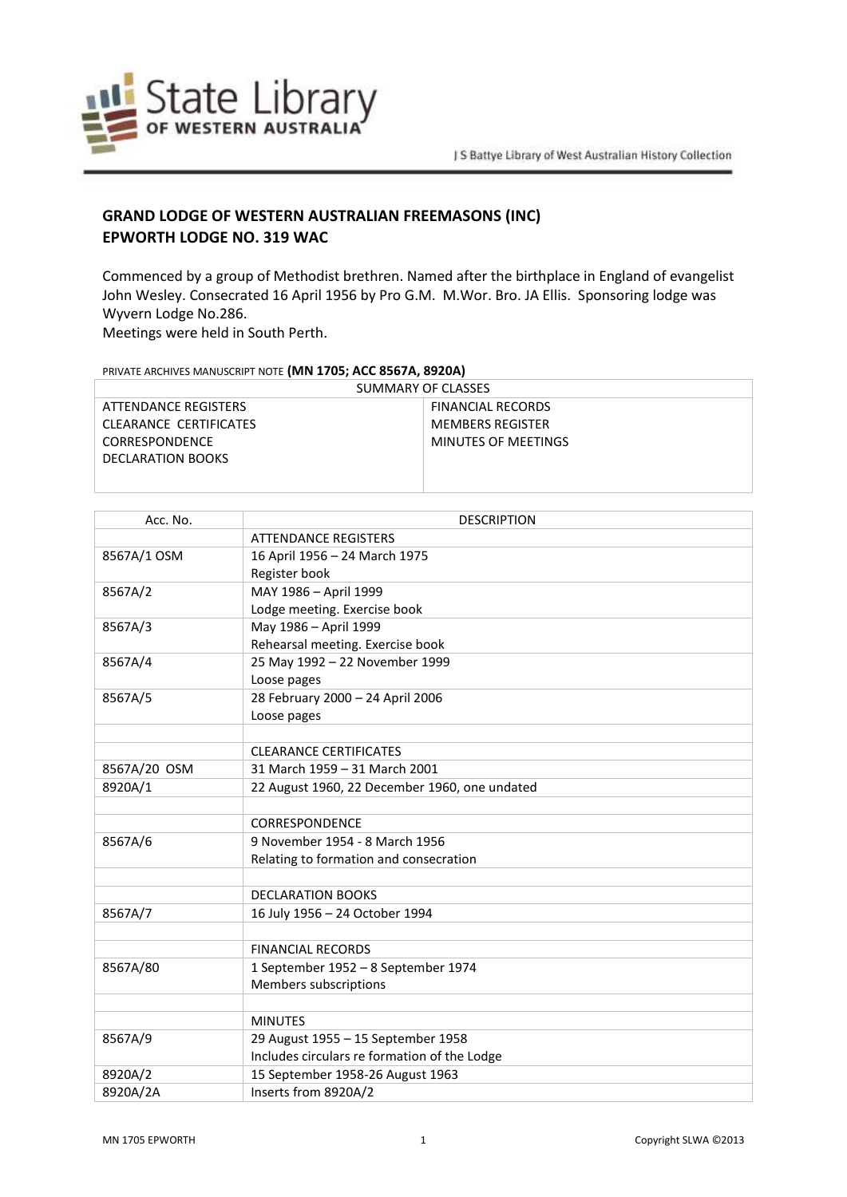

## **GRAND LODGE OF WESTERN AUSTRALIAN FREEMASONS (INC) EPWORTH LODGE NO. 319 WAC**

Commenced by a group of Methodist brethren. Named after the birthplace in England of evangelist John Wesley. Consecrated 16 April 1956 by Pro G.M. M.Wor. Bro. JA Ellis. Sponsoring lodge was Wyvern Lodge No.286.

Meetings were held in South Perth.

## PRIVATE ARCHIVES MANUSCRIPT NOTE **(MN 1705; ACC 8567A, 8920A)**

| SUMMARY OF CLASSES     |                          |
|------------------------|--------------------------|
| ATTENDANCE REGISTERS   | <b>FINANCIAL RECORDS</b> |
| CLEARANCE CERTIFICATES | <b>MEMBERS REGISTER</b>  |
| CORRESPONDENCE         | MINUTES OF MEETINGS      |
| DECLARATION BOOKS      |                          |
|                        |                          |

| Acc. No.     | <b>DESCRIPTION</b>                            |
|--------------|-----------------------------------------------|
|              | <b>ATTENDANCE REGISTERS</b>                   |
| 8567A/1 OSM  | 16 April 1956 - 24 March 1975                 |
|              | Register book                                 |
| 8567A/2      | MAY 1986 - April 1999                         |
|              | Lodge meeting. Exercise book                  |
| 8567A/3      | May 1986 - April 1999                         |
|              | Rehearsal meeting. Exercise book              |
| 8567A/4      | 25 May 1992 - 22 November 1999                |
|              | Loose pages                                   |
| 8567A/5      | 28 February 2000 - 24 April 2006              |
|              | Loose pages                                   |
|              |                                               |
|              | <b>CLEARANCE CERTIFICATES</b>                 |
| 8567A/20 OSM | 31 March 1959 - 31 March 2001                 |
| 8920A/1      | 22 August 1960, 22 December 1960, one undated |
|              |                                               |
|              | CORRESPONDENCE                                |
| 8567A/6      | 9 November 1954 - 8 March 1956                |
|              | Relating to formation and consecration        |
|              |                                               |
|              | <b>DECLARATION BOOKS</b>                      |
| 8567A/7      | 16 July 1956 - 24 October 1994                |
|              |                                               |
|              | <b>FINANCIAL RECORDS</b>                      |
| 8567A/80     | 1 September 1952 - 8 September 1974           |
|              | Members subscriptions                         |
|              |                                               |
|              | <b>MINUTES</b>                                |
| 8567A/9      | 29 August 1955 - 15 September 1958            |
|              | Includes circulars re formation of the Lodge  |
| 8920A/2      | 15 September 1958-26 August 1963              |
| 8920A/2A     | Inserts from 8920A/2                          |